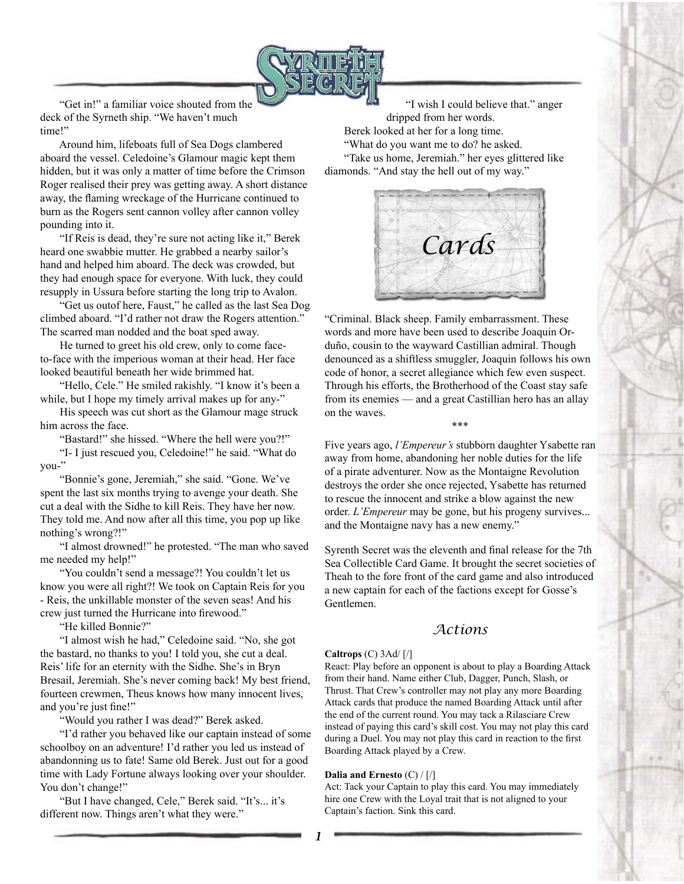

 "Get in!" a familiar voice shouted from the deck of the Syrneth ship. "We haven't much time!"

 Around him, lifeboats full of Sea Dogs clambered aboard the vessel. Celedoine's Glamour magic kept them hidden, but it was only a matter of time before the Crimson Roger realised their prey was getting away. A short distance away, the flaming wreckage of the Hurricane continued to burn as the Rogers sent cannon volley after cannon volley pounding into it.

 "If Reis is dead, they're sure not acting like it," Berek heard one swabbie mutter. He grabbed a nearby sailor's hand and helped him aboard. The deck was crowded, but they had enough space for everyone. With luck, they could resupply in Ussura before starting the long trip to Avalon.

 "Get us outof here, Faust," he called as the last Sea Dog climbed aboard. "I'd rather not draw the Rogers attention." The scarred man nodded and the boat sped away.

 He turned to greet his old crew, only to come faceto-face with the imperious woman at their head. Her face looked beautiful beneath her wide brimmed hat.

 "Hello, Cele." He smiled rakishly. "I know it's been a while, but I hope my timely arrival makes up for any-"

 His speech was cut short as the Glamour mage struck him across the face.

"Bastard!" she hissed. "Where the hell were you?!"

 "I- I just rescued you, Celedoine!" he said. "What do you-"

 "Bonnie's gone, Jeremiah," she said. "Gone. We've spent the last six months trying to avenge your death. She cut a deal with the Sidhe to kill Reis. They have her now. They told me. And now after all this time, you pop up like nothing's wrong?!"

 "I almost drowned!" he protested. "The man who saved me needed my help!"

 "You couldn't send a message?! You couldn't let us know you were all right?! We took on Captain Reis for you - Reis, the unkillable monster of the seven seas! And his crew just turned the Hurricane into firewood."

"He killed Bonnie?"

 "I almost wish he had," Celedoine said. "No, she got the bastard, no thanks to you! I told you, she cut a deal. Reis' life for an eternity with the Sidhe. She's in Bryn Bresail, Jeremiah. She's never coming back! My best friend, fourteen crewmen, Theus knows how many innocent lives, and you're just fine!"

"Would you rather I was dead?" Berek asked.

 "I'd rather you behaved like our captain instead of some schoolboy on an adventure! I'd rather you led us instead of abandonning us to fate! Same old Berek. Just out for a good time with Lady Fortune always looking over your shoulder. You don't change!"

 "But I have changed, Cele," Berek said. "It's... it's different now. Things aren't what they were."

 "I wish I could believe that." anger dripped from her words. Berek looked at her for a long time. "What do you want me to do? he asked. "Take us home, Jeremiah." her eyes glittered like diamonds. "And stay the hell out of my way."



"Criminal. Black sheep. Family embarrassment. These words and more have been used to describe Joaquin Orduño, cousin to the wayward Castillian admiral. Though denounced as a shiftless smuggler, Joaquin follows his own code of honor, a secret allegiance which few even suspect. Through his efforts, the Brotherhood of the Coast stay safe from its enemies — and a great Castillian hero has an allay on the waves. \*\*\*

Five years ago, *l'Empereur's* stubborn daughter Ysabette ran away from home, abandoning her noble duties for the life of a pirate adventurer. Now as the Montaigne Revolution destroys the order she once rejected, Ysabette has returned to rescue the innocent and strike a blow against the new order. *L'Empereur* may be gone, but his progeny survives... and the Montaigne navy has a new enemy."

Syrenth Secret was the eleventh and final release for the 7th Sea Collectible Card Game. It brought the secret societies of Theah to the fore front of the card game and also introduced a new captain for each of the factions except for Gosse's Gentlemen.

## *Actions*

### **Caltrops** (C) 3Ad/ [/]

React: Play before an opponent is about to play a Boarding Attack from their hand. Name either Club, Dagger, Punch, Slash, or Thrust. That Crew's controller may not play any more Boarding Attack cards that produce the named Boarding Attack until after the end of the current round. You may tack a Rilasciare Crew instead of paying this card's skill cost. You may not play this card during a Duel. You may not play this card in reaction to the first Boarding Attack played by a Crew.

### **Dalia and Ernesto** (C) / [/]

Act: Tack your Captain to play this card. You may immediately hire one Crew with the Loyal trait that is not aligned to your Captain's faction. Sink this card.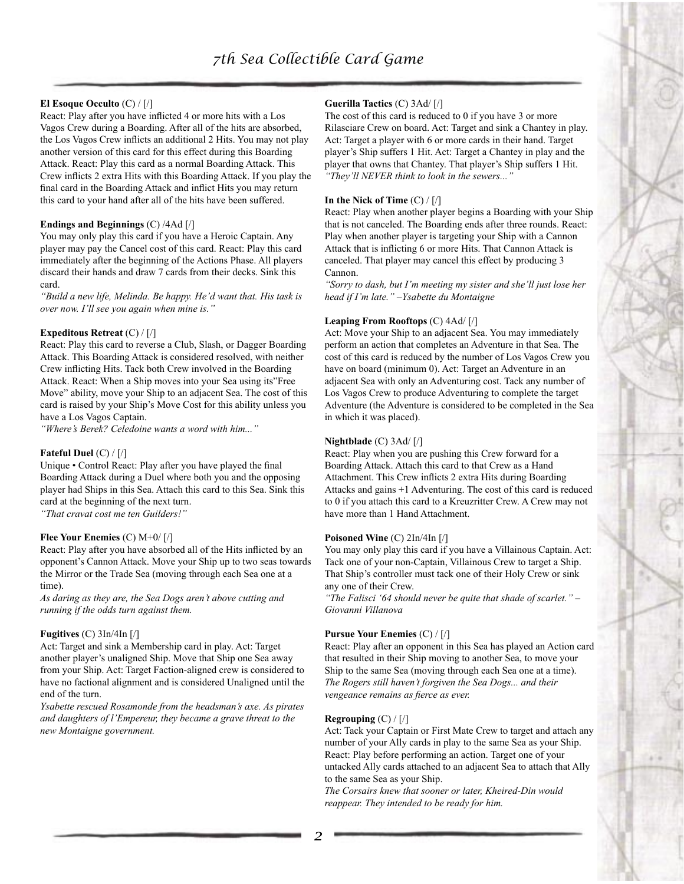### **El Esoque Occulto** (C) / [/]

React: Play after you have inflicted 4 or more hits with a Los Vagos Crew during a Boarding. After all of the hits are absorbed, the Los Vagos Crew inflicts an additional 2 Hits. You may not play another version of this card for this effect during this Boarding Attack. React: Play this card as a normal Boarding Attack. This Crew inflicts 2 extra Hits with this Boarding Attack. If you play the final card in the Boarding Attack and inflict Hits you may return this card to your hand after all of the hits have been suffered.

### **Endings and Beginnings** (C) /4Ad [/]

You may only play this card if you have a Heroic Captain. Any player may pay the Cancel cost of this card. React: Play this card immediately after the beginning of the Actions Phase. All players discard their hands and draw 7 cards from their decks. Sink this card.

*"Build a new life, Melinda. Be happy. He'd want that. His task is over now. I'll see you again when mine is."*

### **Expeditous Retreat** (C) / [/]

React: Play this card to reverse a Club, Slash, or Dagger Boarding Attack. This Boarding Attack is considered resolved, with neither Crew inflicting Hits. Tack both Crew involved in the Boarding Attack. React: When a Ship moves into your Sea using its"Free Move" ability, move your Ship to an adjacent Sea. The cost of this card is raised by your Ship's Move Cost for this ability unless you have a Los Vagos Captain.

*"Where's Berek? Celedoine wants a word with him..."*

### **Fateful Duel** (C) / [/]

Unique • Control React: Play after you have played the final Boarding Attack during a Duel where both you and the opposing player had Ships in this Sea. Attach this card to this Sea. Sink this card at the beginning of the next turn.

*"That cravat cost me ten Guilders!"*

### **Flee Your Enemies** (C) M+0/ [/]

React: Play after you have absorbed all of the Hits inflicted by an opponent's Cannon Attack. Move your Ship up to two seas towards the Mirror or the Trade Sea (moving through each Sea one at a time).

*As daring as they are, the Sea Dogs aren't above cutting and running if the odds turn against them.*

#### **Fugitives** (C) 3In/4In [/]

Act: Target and sink a Membership card in play. Act: Target another player's unaligned Ship. Move that Ship one Sea away from your Ship. Act: Target Faction-aligned crew is considered to have no factional alignment and is considered Unaligned until the end of the turn.

*Ysabette rescued Rosamonde from the headsman's axe. As pirates and daughters of l'Empereur, they became a grave threat to the new Montaigne government.*

### **Guerilla Tactics** (C) 3Ad/ [/]

The cost of this card is reduced to 0 if you have 3 or more Rilasciare Crew on board. Act: Target and sink a Chantey in play. Act: Target a player with 6 or more cards in their hand. Target player's Ship suffers 1 Hit. Act: Target a Chantey in play and the player that owns that Chantey. That player's Ship suffers 1 Hit. *"They'll NEVER think to look in the sewers..."*

#### **In the Nick of Time** (C) / [/]

React: Play when another player begins a Boarding with your Ship that is not canceled. The Boarding ends after three rounds. React: Play when another player is targeting your Ship with a Cannon Attack that is inflicting 6 or more Hits. That Cannon Attack is canceled. That player may cancel this effect by producing 3 Cannon.

*"Sorry to dash, but I'm meeting my sister and she'll just lose her head if I'm late." –Ysabette du Montaigne*

#### **Leaping From Rooftops** (C) 4Ad/ [/]

Act: Move your Ship to an adjacent Sea. You may immediately perform an action that completes an Adventure in that Sea. The cost of this card is reduced by the number of Los Vagos Crew you have on board (minimum 0). Act: Target an Adventure in an adjacent Sea with only an Adventuring cost. Tack any number of Los Vagos Crew to produce Adventuring to complete the target Adventure (the Adventure is considered to be completed in the Sea in which it was placed).

#### **Nightblade** (C) 3Ad/ [/]

React: Play when you are pushing this Crew forward for a Boarding Attack. Attach this card to that Crew as a Hand Attachment. This Crew inflicts 2 extra Hits during Boarding Attacks and gains +1 Adventuring. The cost of this card is reduced to 0 if you attach this card to a Kreuzritter Crew. A Crew may not have more than 1 Hand Attachment.

#### **Poisoned Wine** (C) 2In/4In [/]

You may only play this card if you have a Villainous Captain. Act: Tack one of your non-Captain, Villainous Crew to target a Ship. That Ship's controller must tack one of their Holy Crew or sink any one of their Crew.

*"The Falisci '64 should never be quite that shade of scarlet." – Giovanni Villanova*

#### **Pursue Your Enemies** (C) / [/]

React: Play after an opponent in this Sea has played an Action card that resulted in their Ship moving to another Sea, to move your Ship to the same Sea (moving through each Sea one at a time). *The Rogers still haven't forgiven the Sea Dogs... and their vengeance remains as fierce as ever.*

### **Regrouping** (C) / [/]

Act: Tack your Captain or First Mate Crew to target and attach any number of your Ally cards in play to the same Sea as your Ship. React: Play before performing an action. Target one of your untacked Ally cards attached to an adjacent Sea to attach that Ally to the same Sea as your Ship.

*The Corsairs knew that sooner or later, Kheired-Din would reappear. They intended to be ready for him.*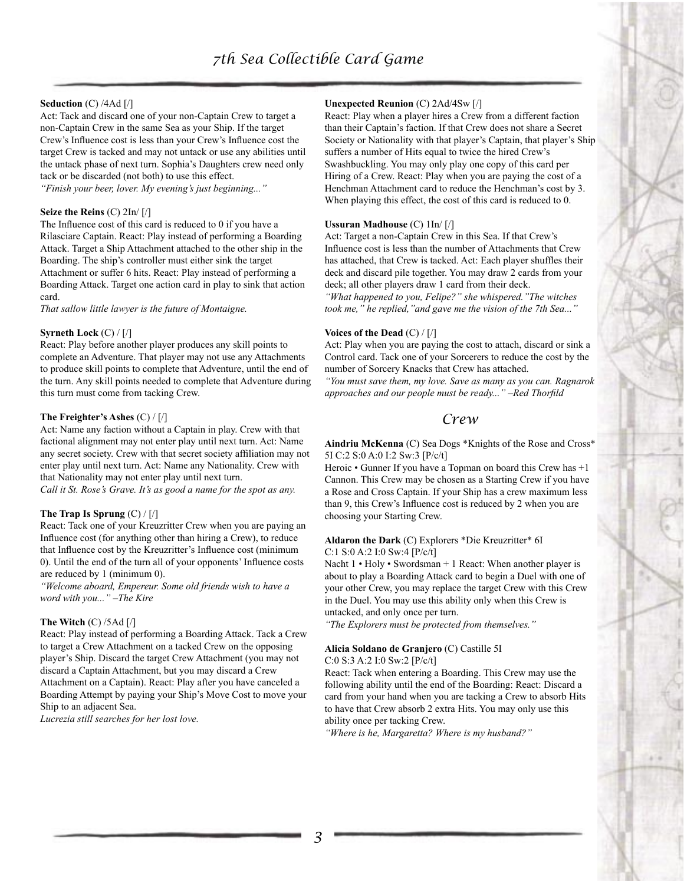### **Seduction** (C) /4Ad [/]

Act: Tack and discard one of your non-Captain Crew to target a non-Captain Crew in the same Sea as your Ship. If the target Crew's Influence cost is less than your Crew's Influence cost the target Crew is tacked and may not untack or use any abilities until the untack phase of next turn. Sophia's Daughters crew need only tack or be discarded (not both) to use this effect.

*"Finish your beer, lover. My evening's just beginning..."*

### **Seize the Reins** (C) 2In/ [/]

The Influence cost of this card is reduced to 0 if you have a Rilasciare Captain. React: Play instead of performing a Boarding Attack. Target a Ship Attachment attached to the other ship in the Boarding. The ship's controller must either sink the target Attachment or suffer 6 hits. React: Play instead of performing a Boarding Attack. Target one action card in play to sink that action card.

*That sallow little lawyer is the future of Montaigne.*

#### **Syrneth Lock** (C) / [/]

React: Play before another player produces any skill points to complete an Adventure. That player may not use any Attachments to produce skill points to complete that Adventure, until the end of the turn. Any skill points needed to complete that Adventure during this turn must come from tacking Crew.

### **The Freighter's Ashes** (C) / [/]

Act: Name any faction without a Captain in play. Crew with that factional alignment may not enter play until next turn. Act: Name any secret society. Crew with that secret society affiliation may not enter play until next turn. Act: Name any Nationality. Crew with that Nationality may not enter play until next turn.

*Call it St. Rose's Grave. It's as good a name for the spot as any.*

### **The Trap Is Sprung** (C) / [/]

React: Tack one of your Kreuzritter Crew when you are paying an Influence cost (for anything other than hiring a Crew), to reduce that Influence cost by the Kreuzritter's Influence cost (minimum 0). Until the end of the turn all of your opponents' Influence costs are reduced by 1 (minimum 0).

*"Welcome aboard, Empereur. Some old friends wish to have a word with you..." –The Kire*

### **The Witch** (C) /5Ad [/]

React: Play instead of performing a Boarding Attack. Tack a Crew to target a Crew Attachment on a tacked Crew on the opposing player's Ship. Discard the target Crew Attachment (you may not discard a Captain Attachment, but you may discard a Crew Attachment on a Captain). React: Play after you have canceled a Boarding Attempt by paying your Ship's Move Cost to move your Ship to an adjacent Sea.

*Lucrezia still searches for her lost love.*

### **Unexpected Reunion** (C) 2Ad/4Sw [/]

React: Play when a player hires a Crew from a different faction than their Captain's faction. If that Crew does not share a Secret Society or Nationality with that player's Captain, that player's Ship suffers a number of Hits equal to twice the hired Crew's Swashbuckling. You may only play one copy of this card per Hiring of a Crew. React: Play when you are paying the cost of a Henchman Attachment card to reduce the Henchman's cost by 3. When playing this effect, the cost of this card is reduced to 0.

#### **Ussuran Madhouse** (C) 1In/ [/]

Act: Target a non-Captain Crew in this Sea. If that Crew's Influence cost is less than the number of Attachments that Crew has attached, that Crew is tacked. Act: Each player shuffles their deck and discard pile together. You may draw 2 cards from your deck; all other players draw 1 card from their deck.

*"What happened to you, Felipe?" she whispered."The witches took me," he replied,"and gave me the vision of the 7th Sea..."*

#### **Voices of the Dead** (C) / [/]

Act: Play when you are paying the cost to attach, discard or sink a Control card. Tack one of your Sorcerers to reduce the cost by the number of Sorcery Knacks that Crew has attached.

*"You must save them, my love. Save as many as you can. Ragnarok approaches and our people must be ready..." –Red Thorfild*

### *Crew*

**Aindriu McKenna** (C) Sea Dogs \*Knights of the Rose and Cross\* 5I C:2 S:0 A:0 I:2 Sw:3 [P/c/t]

Heroic • Gunner If you have a Topman on board this Crew has +1 Cannon. This Crew may be chosen as a Starting Crew if you have a Rose and Cross Captain. If your Ship has a crew maximum less than 9, this Crew's Influence cost is reduced by 2 when you are choosing your Starting Crew.

#### **Aldaron the Dark** (C) Explorers \*Die Kreuzritter\* 6I C:1 S:0 A:2 I:0 Sw:4 [P/c/t]

Nacht 1 • Holy • Swordsman + 1 React: When another player is about to play a Boarding Attack card to begin a Duel with one of your other Crew, you may replace the target Crew with this Crew in the Duel. You may use this ability only when this Crew is untacked, and only once per turn.

*"The Explorers must be protected from themselves."*

#### **Alicia Soldano de Granjero** (C) Castille 5I

C:0 S:3 A:2 I:0 Sw:2 [P/c/t]

React: Tack when entering a Boarding. This Crew may use the following ability until the end of the Boarding: React: Discard a card from your hand when you are tacking a Crew to absorb Hits to have that Crew absorb 2 extra Hits. You may only use this ability once per tacking Crew.

*"Where is he, Margaretta? Where is my husband?"*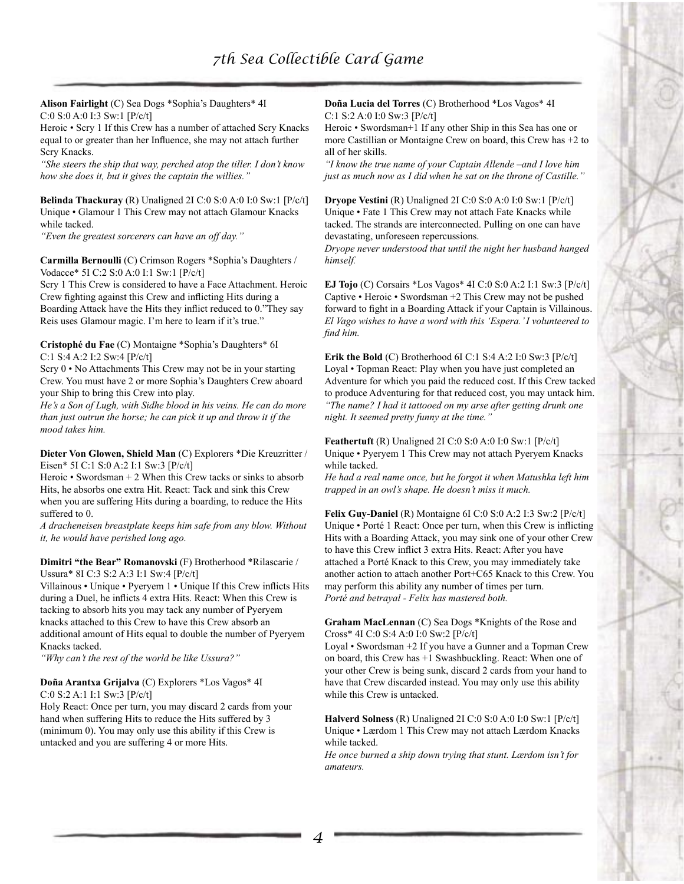**Alison Fairlight** (C) Sea Dogs \*Sophia's Daughters\* 4I C:0 S:0 A:0 I:3 Sw:1 [P/c/t]

Heroic • Scry 1 If this Crew has a number of attached Scry Knacks equal to or greater than her Influence, she may not attach further Scry Knacks.

*"She steers the ship that way, perched atop the tiller. I don't know how she does it, but it gives the captain the willies."*

**Belinda Thackuray** (R) Unaligned 2I C:0 S:0 A:0 I:0 Sw:1 [P/c/t] Unique • Glamour 1 This Crew may not attach Glamour Knacks while tacked.

*"Even the greatest sorcerers can have an off day."*

**Carmilla Bernoulli** (C) Crimson Rogers \*Sophia's Daughters / Vodacce\* 5I C:2 S:0 A:0 I:1 Sw:1 [P/c/t]

Scry 1 This Crew is considered to have a Face Attachment. Heroic Crew fighting against this Crew and inflicting Hits during a Boarding Attack have the Hits they inflict reduced to 0."They say Reis uses Glamour magic. I'm here to learn if it's true."

**Cristophé du Fae** (C) Montaigne \*Sophia's Daughters\* 6I C:1 S:4 A:2 I:2 Sw:4 [P/c/t]

Scry 0 • No Attachments This Crew may not be in your starting Crew. You must have 2 or more Sophia's Daughters Crew aboard your Ship to bring this Crew into play.

*He's a Son of Lugh, with Sidhe blood in his veins. He can do more than just outrun the horse; he can pick it up and throw it if the mood takes him.*

**Dieter Von Glowen, Shield Man** (C) Explorers \*Die Kreuzritter / Eisen\* 5I C:1 S:0 A:2 I:1 Sw:3 [P/c/t]

Heroic • Swordsman  $+ 2$  When this Crew tacks or sinks to absorb Hits, he absorbs one extra Hit. React: Tack and sink this Crew when you are suffering Hits during a boarding, to reduce the Hits suffered to 0.

*A dracheneisen breastplate keeps him safe from any blow. Without it, he would have perished long ago.*

**Dimitri "the Bear" Romanovski** (F) Brotherhood \*Rilascarie / Ussura\* 8I C:3 S:2 A:3 I:1 Sw:4 [P/c/t]

Villainous • Unique • Pyeryem 1 • Unique If this Crew inflicts Hits during a Duel, he inflicts 4 extra Hits. React: When this Crew is tacking to absorb hits you may tack any number of Pyeryem knacks attached to this Crew to have this Crew absorb an additional amount of Hits equal to double the number of Pyeryem Knacks tacked.

*"Why can't the rest of the world be like Ussura?"*

## **Doña Arantxa Grijalva** (C) Explorers \*Los Vagos\* 4I

C:0 S:2 A:1 I:1 Sw:3 [P/c/t]

Holy React: Once per turn, you may discard 2 cards from your hand when suffering Hits to reduce the Hits suffered by 3 (minimum 0). You may only use this ability if this Crew is untacked and you are suffering 4 or more Hits.

**Doña Lucia del Torres** (C) Brotherhood \*Los Vagos\* 4I C:1 S:2 A:0 I:0 Sw:3 [P/c/t]

Heroic • Swordsman+1 If any other Ship in this Sea has one or more Castillian or Montaigne Crew on board, this Crew has +2 to all of her skills.

*"I know the true name of your Captain Allende –and I love him just as much now as I did when he sat on the throne of Castille."*

**Dryope Vestini** (R) Unaligned 2I C:0 S:0 A:0 I:0 Sw:1 [P/c/t] Unique • Fate 1 This Crew may not attach Fate Knacks while tacked. The strands are interconnected. Pulling on one can have devastating, unforeseen repercussions.

*Dryope never understood that until the night her husband hanged himself.*

**EJ Tojo** (C) Corsairs \*Los Vagos\* 4I C:0 S:0 A:2 I:1 Sw:3 [P/c/t] Captive • Heroic • Swordsman +2 This Crew may not be pushed forward to fight in a Boarding Attack if your Captain is Villainous. *El Vago wishes to have a word with this 'Espera.' I volunteered to find him.*

**Erik the Bold** (C) Brotherhood 6I C:1 S:4 A:2 I:0 Sw:3 [P/c/t] Loyal • Topman React: Play when you have just completed an Adventure for which you paid the reduced cost. If this Crew tacked to produce Adventuring for that reduced cost, you may untack him. *"The name? I had it tattooed on my arse after getting drunk one night. It seemed pretty funny at the time."*

**Feathertuft** (R) Unaligned 2I C:0 S:0 A:0 I:0 Sw:1 [P/c/t] Unique • Pyeryem 1 This Crew may not attach Pyeryem Knacks while tacked.

*He had a real name once, but he forgot it when Matushka left him trapped in an owl's shape. He doesn't miss it much.*

**Felix Guy-Daniel** (R) Montaigne 6I C:0 S:0 A:2 I:3 Sw:2 [P/c/t] Unique • Porté 1 React: Once per turn, when this Crew is inflicting Hits with a Boarding Attack, you may sink one of your other Crew to have this Crew inflict 3 extra Hits. React: After you have attached a Porté Knack to this Crew, you may immediately take another action to attach another Port+C65 Knack to this Crew. You may perform this ability any number of times per turn. *Porté and betrayal - Felix has mastered both.*

**Graham MacLennan** (C) Sea Dogs \*Knights of the Rose and Cross\* 4I C:0 S:4 A:0 I:0 Sw:2 [P/c/t]

Loyal • Swordsman +2 If you have a Gunner and a Topman Crew on board, this Crew has +1 Swashbuckling. React: When one of your other Crew is being sunk, discard 2 cards from your hand to have that Crew discarded instead. You may only use this ability while this Crew is untacked.

**Halverd Solness** (R) Unaligned 2I C:0 S:0 A:0 I:0 Sw:1 [P/c/t] Unique • Lærdom 1 This Crew may not attach Lærdom Knacks while tacked.

*He once burned a ship down trying that stunt. Lærdom isn't for amateurs.*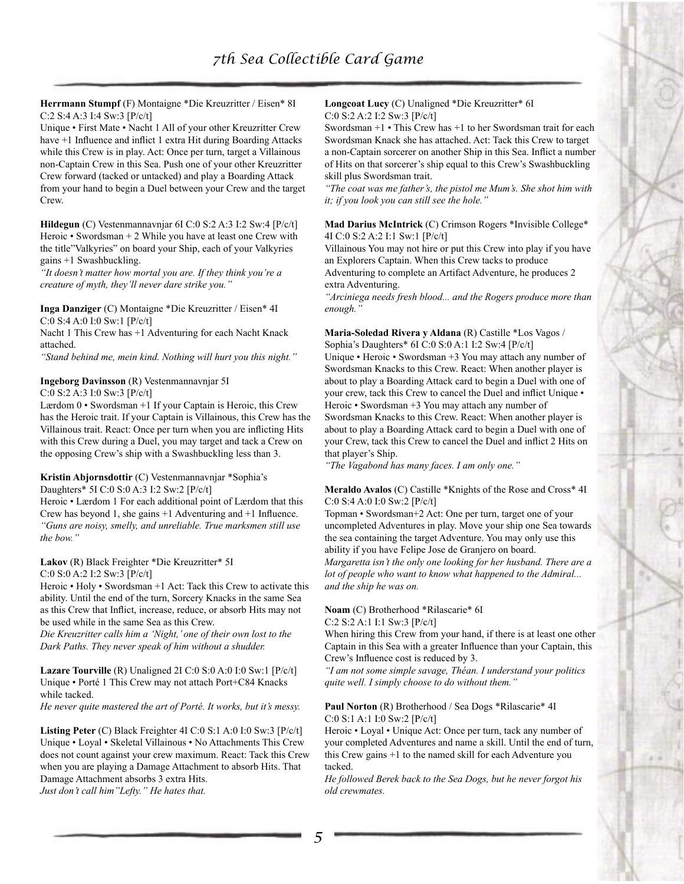**Herrmann Stumpf** (F) Montaigne \*Die Kreuzritter / Eisen\* 8I C:2 S:4 A:3 I:4 Sw:3 [P/c/t]

Unique • First Mate • Nacht 1 All of your other Kreuzritter Crew have  $+1$  Influence and inflict 1 extra Hit during Boarding Attacks while this Crew is in play. Act: Once per turn, target a Villainous non-Captain Crew in this Sea. Push one of your other Kreuzritter Crew forward (tacked or untacked) and play a Boarding Attack from your hand to begin a Duel between your Crew and the target Crew.

**Hildegun** (C) Vestenmannavnjar 6I C:0 S:2 A:3 I:2 Sw:4 [P/c/t] Heroic • Swordsman + 2 While you have at least one Crew with the title"Valkyries" on board your Ship, each of your Valkyries gains +1 Swashbuckling.

*"It doesn't matter how mortal you are. If they think you're a creature of myth, they'll never dare strike you."*

**Inga Danziger** (C) Montaigne \*Die Kreuzritter / Eisen\* 4I C:0 S:4 A:0 I:0 Sw:1 [P/c/t]

Nacht 1 This Crew has +1 Adventuring for each Nacht Knack attached.

*"Stand behind me, mein kind. Nothing will hurt you this night."*

#### **Ingeborg Davinsson** (R) Vestenmannavnjar 5I

C:0 S:2 A:3 I:0 Sw:3 [P/c/t]

Lærdom 0 • Swordsman +1 If your Captain is Heroic, this Crew has the Heroic trait. If your Captain is Villainous, this Crew has the Villainous trait. React: Once per turn when you are inflicting Hits with this Crew during a Duel, you may target and tack a Crew on the opposing Crew's ship with a Swashbuckling less than 3.

## **Kristin Abjornsdottir** (C) Vestenmannavnjar \*Sophia's

Daughters\* 5I C:0 S:0 A:3 I:2 Sw:2 [P/c/t]

Heroic • Lærdom 1 For each additional point of Lærdom that this Crew has beyond 1, she gains +1 Adventuring and +1 Influence. *"Guns are noisy, smelly, and unreliable. True marksmen still use the bow."*

**Lakov** (R) Black Freighter \*Die Kreuzritter\* 5I

C:0 S:0 A:2 I:2 Sw:3 [P/c/t]

Heroic • Holy • Swordsman +1 Act: Tack this Crew to activate this ability. Until the end of the turn, Sorcery Knacks in the same Sea as this Crew that Inflict, increase, reduce, or absorb Hits may not be used while in the same Sea as this Crew.

*Die Kreuzritter calls him a 'Night,' one of their own lost to the Dark Paths. They never speak of him without a shudder.*

**Lazare Tourville** (R) Unaligned 2I C:0 S:0 A:0 I:0 Sw:1 [P/c/t] Unique • Porté 1 This Crew may not attach Port+C84 Knacks while tacked.

*He never quite mastered the art of Porté. It works, but it's messy.*

**Listing Peter** (C) Black Freighter 4I C:0 S:1 A:0 I:0 Sw:3 [P/c/t] Unique • Loyal • Skeletal Villainous • No Attachments This Crew does not count against your crew maximum. React: Tack this Crew when you are playing a Damage Attachment to absorb Hits. That Damage Attachment absorbs 3 extra Hits.

*Just don't call him"Lefty." He hates that.*

#### **Longcoat Lucy** (C) Unaligned \*Die Kreuzritter\* 6I C:0 S:2 A:2 I:2 Sw:3 [P/c/t]

Swordsman +1 • This Crew has +1 to her Swordsman trait for each Swordsman Knack she has attached. Act: Tack this Crew to target a non-Captain sorcerer on another Ship in this Sea. Inflict a number of Hits on that sorcerer's ship equal to this Crew's Swashbuckling skill plus Swordsman trait.

*"The coat was me father's, the pistol me Mum's. She shot him with it; if you look you can still see the hole."*

**Mad Darius McIntrick** (C) Crimson Rogers \*Invisible College\* 4I C:0 S:2 A:2 I:1 Sw:1 [P/c/t]

Villainous You may not hire or put this Crew into play if you have an Explorers Captain. When this Crew tacks to produce Adventuring to complete an Artifact Adventure, he produces 2 extra Adventuring.

*"Arciniega needs fresh blood... and the Rogers produce more than enough."*

**Maria-Soledad Rivera y Aldana** (R) Castille \*Los Vagos / Sophia's Daughters\* 6I C:0 S:0 A:1 I:2 Sw:4 [P/c/t]

Unique • Heroic • Swordsman +3 You may attach any number of Swordsman Knacks to this Crew. React: When another player is about to play a Boarding Attack card to begin a Duel with one of your crew, tack this Crew to cancel the Duel and inflict Unique • Heroic • Swordsman +3 You may attach any number of Swordsman Knacks to this Crew. React: When another player is about to play a Boarding Attack card to begin a Duel with one of your Crew, tack this Crew to cancel the Duel and inflict 2 Hits on that player's Ship.

*"The Vagabond has many faces. I am only one."*

### **Meraldo Avalos** (C) Castille \*Knights of the Rose and Cross\* 4I C:0 S:4 A:0 I:0 Sw:2 [P/c/t]

Topman • Swordsman+2 Act: One per turn, target one of your uncompleted Adventures in play. Move your ship one Sea towards the sea containing the target Adventure. You may only use this ability if you have Felipe Jose de Granjero on board. *Margaretta isn't the only one looking for her husband. There are a lot of people who want to know what happened to the Admiral... and the ship he was on.*

**Noam** (C) Brotherhood \*Rilascarie\* 6I

C:2 S:2 A:1 I:1 Sw:3 [P/c/t]

When hiring this Crew from your hand, if there is at least one other Captain in this Sea with a greater Influence than your Captain, this Crew's Influence cost is reduced by 3.

*"I am not some simple savage, Théan. I understand your politics quite well. I simply choose to do without them."*

### **Paul Norton** (R) Brotherhood / Sea Dogs \*Rilascarie\* 4I C:0 S:1 A:1 I:0 Sw:2 [P/c/t]

Heroic • Loyal • Unique Act: Once per turn, tack any number of your completed Adventures and name a skill. Until the end of turn, this Crew gains +1 to the named skill for each Adventure you tacked.

*He followed Berek back to the Sea Dogs, but he never forgot his old crewmates.*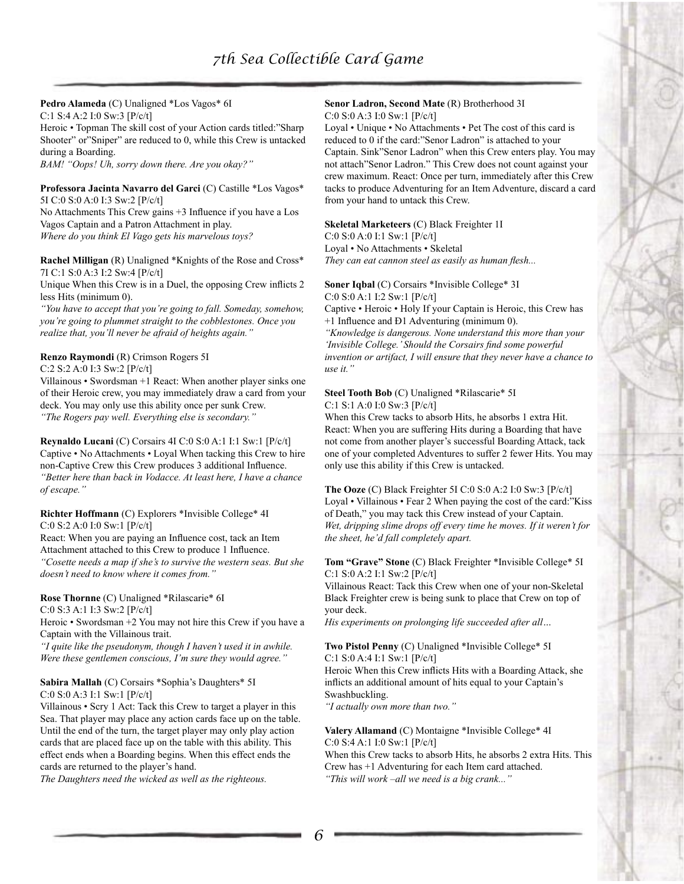#### **Pedro Alameda** (C) Unaligned \*Los Vagos\* 6I C:1 S:4 A:2 I:0 Sw:3 [P/c/t]

Heroic • Topman The skill cost of your Action cards titled:"Sharp Shooter" or"Sniper" are reduced to 0, while this Crew is untacked during a Boarding.

*BAM! "Oops! Uh, sorry down there. Are you okay?"*

**Professora Jacinta Navarro del Garci** (C) Castille \*Los Vagos\* 5I C:0 S:0 A:0 I:3 Sw:2 [P/c/t]

No Attachments This Crew gains +3 Influence if you have a Los Vagos Captain and a Patron Attachment in play. *Where do you think El Vago gets his marvelous toys?* 

**Rachel Milligan** (R) Unaligned \*Knights of the Rose and Cross\* 7I C:1 S:0 A:3 I:2 Sw:4 [P/c/t]

Unique When this Crew is in a Duel, the opposing Crew inflicts 2 less Hits (minimum 0).

*"You have to accept that you're going to fall. Someday, somehow, you're going to plummet straight to the cobblestones. Once you realize that, you'll never be afraid of heights again."*

### **Renzo Raymondi** (R) Crimson Rogers 5I

C:2 S:2 A:0 I:3 Sw:2 [P/c/t]

Villainous • Swordsman +1 React: When another player sinks one of their Heroic crew, you may immediately draw a card from your deck. You may only use this ability once per sunk Crew. *"The Rogers pay well. Everything else is secondary."*

**Reynaldo Lucani** (C) Corsairs 4I C:0 S:0 A:1 I:1 Sw:1 [P/c/t] Captive • No Attachments • Loyal When tacking this Crew to hire non-Captive Crew this Crew produces 3 additional Influence. *"Better here than back in Vodacce. At least here, I have a chance of escape."*

**Richter Hoffmann** (C) Explorers \*Invisible College\* 4I

C:0 S:2 A:0 I:0 Sw:1 [P/c/t]

React: When you are paying an Influence cost, tack an Item Attachment attached to this Crew to produce 1 Influence. *"Cosette needs a map if she's to survive the western seas. But she doesn't need to know where it comes from."*

**Rose Thornne** (C) Unaligned \*Rilascarie\* 6I

C:0 S:3 A:1 I:3 Sw:2 [P/c/t]

Heroic • Swordsman +2 You may not hire this Crew if you have a Captain with the Villainous trait.

*"I quite like the pseudonym, though I haven't used it in awhile. Were these gentlemen conscious, I'm sure they would agree."*

### **Sabira Mallah** (C) Corsairs \*Sophia's Daughters\* 5I

C:0 S:0 A:3 I:1 Sw:1 [P/c/t]

Villainous • Scry 1 Act: Tack this Crew to target a player in this Sea. That player may place any action cards face up on the table. Until the end of the turn, the target player may only play action cards that are placed face up on the table with this ability. This effect ends when a Boarding begins. When this effect ends the cards are returned to the player's hand.

*The Daughters need the wicked as well as the righteous.*

#### **Senor Ladron, Second Mate** (R) Brotherhood 3I C:0 S:0 A:3 I:0 Sw:1 [P/c/t]

Loyal • Unique • No Attachments • Pet The cost of this card is reduced to 0 if the card:"Senor Ladron" is attached to your Captain. Sink"Senor Ladron" when this Crew enters play. You may not attach"Senor Ladron." This Crew does not count against your crew maximum. React: Once per turn, immediately after this Crew tacks to produce Adventuring for an Item Adventure, discard a card from your hand to untack this Crew.

#### **Skeletal Marketeers** (C) Black Freighter 1I C:0 S:0 A:0 I:1 Sw:1 [P/c/t]

Loyal • No Attachments • Skeletal

*They can eat cannon steel as easily as human flesh...*

#### **Soner Iqbal** (C) Corsairs \*Invisible College\* 3I C:0 S:0 A:1 I:2 Sw:1 [P/c/t]

Captive • Heroic • Holy If your Captain is Heroic, this Crew has +1 Influence and Ð1 Adventuring (minimum 0).

*"Knowledge is dangerous. None understand this more than your 'Invisible College.' Should the Corsairs find some powerful invention or artifact, I will ensure that they never have a chance to use it."*

### **Steel Tooth Bob** (C) Unaligned \*Rilascarie\* 5I C:1 S:1 A:0 I:0 Sw:3 [P/c/t]

When this Crew tacks to absorb Hits, he absorbs 1 extra Hit. React: When you are suffering Hits during a Boarding that have not come from another player's successful Boarding Attack, tack one of your completed Adventures to suffer 2 fewer Hits. You may only use this ability if this Crew is untacked.

**The Ooze** (C) Black Freighter 5I C:0 S:0 A:2 I:0 Sw:3 [P/c/t] Loyal • Villainous • Fear 2 When paying the cost of the card:"Kiss of Death," you may tack this Crew instead of your Captain. *Wet, dripping slime drops off every time he moves. If it weren't for the sheet, he'd fall completely apart.*

### **Tom "Grave" Stone** (C) Black Freighter \*Invisible College\* 5I C:1 S:0 A:2 I:1 Sw:2 [P/c/t]

Villainous React: Tack this Crew when one of your non-Skeletal Black Freighter crew is being sunk to place that Crew on top of your deck.

*His experiments on prolonging life succeeded after all…*

### **Two Pistol Penny** (C) Unaligned \*Invisible College\* 5I C:1 S:0 A:4 I:1 Sw:1 [P/c/t]

Heroic When this Crew inflicts Hits with a Boarding Attack, she inflicts an additional amount of hits equal to your Captain's Swashbuckling.

*"I actually own more than two."*

### **Valery Allamand** (C) Montaigne \*Invisible College\* 4I C:0 S:4 A:1 I:0 Sw:1 [P/c/t]

When this Crew tacks to absorb Hits, he absorbs 2 extra Hits. This Crew has +1 Adventuring for each Item card attached. *"This will work –all we need is a big crank..."*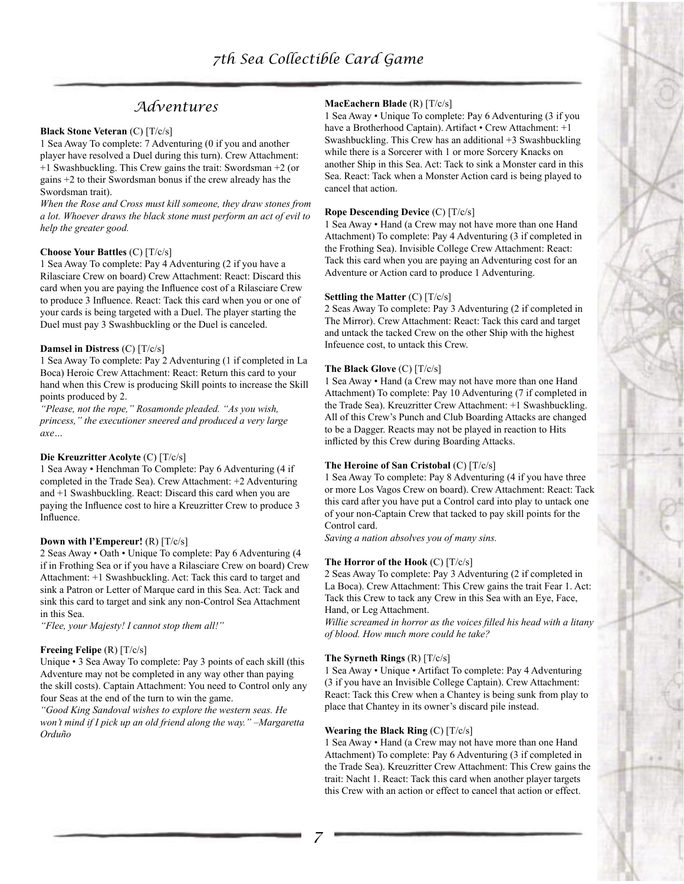# *Adventures*

#### **Black Stone Veteran** (C) [T/c/s]

1 Sea Away To complete: 7 Adventuring (0 if you and another player have resolved a Duel during this turn). Crew Attachment: +1 Swashbuckling. This Crew gains the trait: Swordsman +2 (or gains +2 to their Swordsman bonus if the crew already has the Swordsman trait).

*When the Rose and Cross must kill someone, they draw stones from a lot. Whoever draws the black stone must perform an act of evil to help the greater good.*

#### **Choose Your Battles** (C) [T/c/s]

1 Sea Away To complete: Pay 4 Adventuring (2 if you have a Rilasciare Crew on board) Crew Attachment: React: Discard this card when you are paying the Influence cost of a Rilasciare Crew to produce 3 Influence. React: Tack this card when you or one of your cards is being targeted with a Duel. The player starting the Duel must pay 3 Swashbuckling or the Duel is canceled.

#### **Damsel in Distress** (C) [T/c/s]

1 Sea Away To complete: Pay 2 Adventuring (1 if completed in La Boca) Heroic Crew Attachment: React: Return this card to your hand when this Crew is producing Skill points to increase the Skill points produced by 2.

*"Please, not the rope," Rosamonde pleaded. "As you wish, princess," the executioner sneered and produced a very large axe…*

### **Die Kreuzritter Acolyte** (C) [T/c/s]

1 Sea Away • Henchman To Complete: Pay 6 Adventuring (4 if completed in the Trade Sea). Crew Attachment: +2 Adventuring and +1 Swashbuckling. React: Discard this card when you are paying the Influence cost to hire a Kreuzritter Crew to produce 3 Influence.

#### **Down with l'Empereur!** (R) [T/c/s]

2 Seas Away • Oath • Unique To complete: Pay 6 Adventuring (4 if in Frothing Sea or if you have a Rilasciare Crew on board) Crew Attachment: +1 Swashbuckling. Act: Tack this card to target and sink a Patron or Letter of Marque card in this Sea. Act: Tack and sink this card to target and sink any non-Control Sea Attachment in this Sea.

*"Flee, your Majesty! I cannot stop them all!"*

### **Freeing Felipe** (R) [T/c/s]

Unique • 3 Sea Away To complete: Pay 3 points of each skill (this Adventure may not be completed in any way other than paying the skill costs). Captain Attachment: You need to Control only any four Seas at the end of the turn to win the game.

*"Good King Sandoval wishes to explore the western seas. He won't mind if I pick up an old friend along the way." –Margaretta Orduño*

### **MacEachern Blade** (R) [T/c/s]

1 Sea Away • Unique To complete: Pay 6 Adventuring (3 if you have a Brotherhood Captain). Artifact • Crew Attachment: +1 Swashbuckling. This Crew has an additional +3 Swashbuckling while there is a Sorcerer with 1 or more Sorcery Knacks on another Ship in this Sea. Act: Tack to sink a Monster card in this Sea. React: Tack when a Monster Action card is being played to cancel that action.

### **Rope Descending Device** (C) [T/c/s]

1 Sea Away • Hand (a Crew may not have more than one Hand Attachment) To complete: Pay 4 Adventuring (3 if completed in the Frothing Sea). Invisible College Crew Attachment: React: Tack this card when you are paying an Adventuring cost for an Adventure or Action card to produce 1 Adventuring.

#### **Settling the Matter** (C) [T/c/s]

2 Seas Away To complete: Pay 3 Adventuring (2 if completed in The Mirror). Crew Attachment: React: Tack this card and target and untack the tacked Crew on the other Ship with the highest Infeuence cost, to untack this Crew.

### **The Black Glove** (C) [T/c/s]

1 Sea Away • Hand (a Crew may not have more than one Hand Attachment) To complete: Pay 10 Adventuring (7 if completed in the Trade Sea). Kreuzritter Crew Attachment: +1 Swashbuckling. All of this Crew's Punch and Club Boarding Attacks are changed to be a Dagger. Reacts may not be played in reaction to Hits inflicted by this Crew during Boarding Attacks.

#### **The Heroine of San Cristobal** (C) [T/c/s]

1 Sea Away To complete: Pay 8 Adventuring (4 if you have three or more Los Vagos Crew on board). Crew Attachment: React: Tack this card after you have put a Control card into play to untack one of your non-Captain Crew that tacked to pay skill points for the Control card.

*Saving a nation absolves you of many sins.*

#### **The Horror of the Hook** (C) [T/c/s]

2 Seas Away To complete: Pay 3 Adventuring (2 if completed in La Boca). Crew Attachment: This Crew gains the trait Fear 1. Act: Tack this Crew to tack any Crew in this Sea with an Eye, Face, Hand, or Leg Attachment.

*Willie screamed in horror as the voices filled his head with a litany of blood. How much more could he take?*

#### **The Syrneth Rings** (R) [T/c/s]

1 Sea Away • Unique • Artifact To complete: Pay 4 Adventuring (3 if you have an Invisible College Captain). Crew Attachment: React: Tack this Crew when a Chantey is being sunk from play to place that Chantey in its owner's discard pile instead.

#### **Wearing the Black Ring** (C) [T/c/s]

1 Sea Away • Hand (a Crew may not have more than one Hand Attachment) To complete: Pay 6 Adventuring (3 if completed in the Trade Sea). Kreuzritter Crew Attachment: This Crew gains the trait: Nacht 1. React: Tack this card when another player targets this Crew with an action or effect to cancel that action or effect.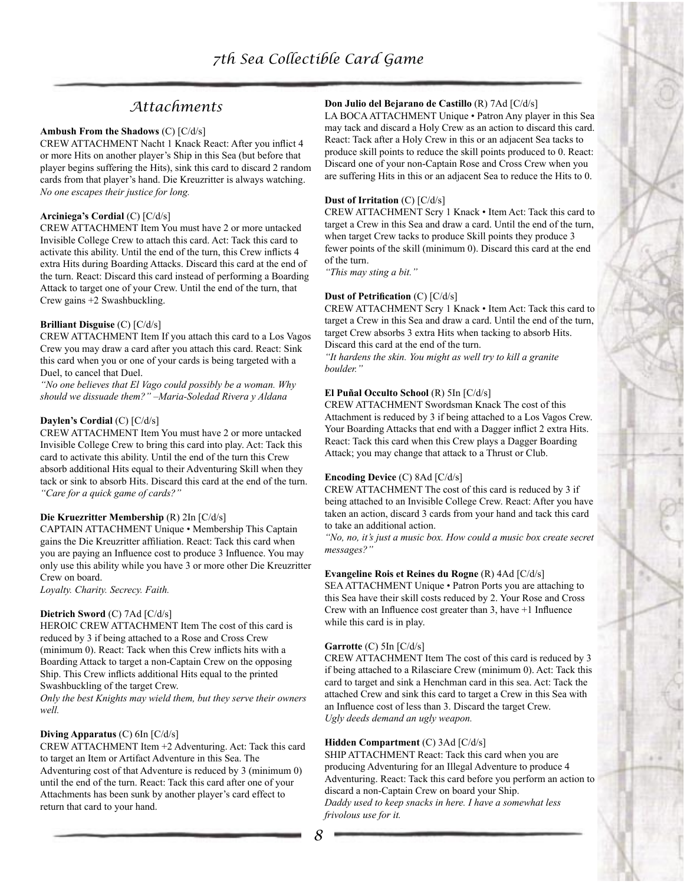# *Attachments*

#### **Ambush From the Shadows** (C) [C/d/s]

CREW ATTACHMENT Nacht 1 Knack React: After you inflict 4 or more Hits on another player's Ship in this Sea (but before that player begins suffering the Hits), sink this card to discard 2 random cards from that player's hand. Die Kreuzritter is always watching. *No one escapes their justice for long.*

### **Arciniega's Cordial** (C) [C/d/s]

CREW ATTACHMENT Item You must have 2 or more untacked Invisible College Crew to attach this card. Act: Tack this card to activate this ability. Until the end of the turn, this Crew inflicts 4 extra Hits during Boarding Attacks. Discard this card at the end of the turn. React: Discard this card instead of performing a Boarding Attack to target one of your Crew. Until the end of the turn, that Crew gains +2 Swashbuckling.

### **Brilliant Disguise** (C) [C/d/s]

CREW ATTACHMENT Item If you attach this card to a Los Vagos Crew you may draw a card after you attach this card. React: Sink this card when you or one of your cards is being targeted with a Duel, to cancel that Duel.

*"No one believes that El Vago could possibly be a woman. Why should we dissuade them?" –Maria-Soledad Rivera y Aldana*

#### **Daylen's Cordial** (C) [C/d/s]

CREW ATTACHMENT Item You must have 2 or more untacked Invisible College Crew to bring this card into play. Act: Tack this card to activate this ability. Until the end of the turn this Crew absorb additional Hits equal to their Adventuring Skill when they tack or sink to absorb Hits. Discard this card at the end of the turn. *"Care for a quick game of cards?"*

#### **Die Kruezritter Membership** (R) 2In [C/d/s]

CAPTAIN ATTACHMENT Unique • Membership This Captain gains the Die Kreuzritter affiliation. React: Tack this card when you are paying an Influence cost to produce 3 Influence. You may only use this ability while you have 3 or more other Die Kreuzritter Crew on board.

*Loyalty. Charity. Secrecy. Faith.*

#### **Dietrich Sword** (C) 7Ad [C/d/s]

HEROIC CREW ATTACHMENT Item The cost of this card is reduced by 3 if being attached to a Rose and Cross Crew (minimum 0). React: Tack when this Crew inflicts hits with a Boarding Attack to target a non-Captain Crew on the opposing Ship. This Crew inflicts additional Hits equal to the printed Swashbuckling of the target Crew.

*Only the best Knights may wield them, but they serve their owners well.*

#### **Diving Apparatus** (C) 6In [C/d/s]

CREW ATTACHMENT Item +2 Adventuring. Act: Tack this card to target an Item or Artifact Adventure in this Sea. The Adventuring cost of that Adventure is reduced by 3 (minimum 0) until the end of the turn. React: Tack this card after one of your Attachments has been sunk by another player's card effect to return that card to your hand.

### **Don Julio del Bejarano de Castillo** (R) 7Ad [C/d/s]

LA BOCA ATTACHMENT Unique • Patron Any player in this Sea may tack and discard a Holy Crew as an action to discard this card. React: Tack after a Holy Crew in this or an adjacent Sea tacks to produce skill points to reduce the skill points produced to 0. React: Discard one of your non-Captain Rose and Cross Crew when you are suffering Hits in this or an adjacent Sea to reduce the Hits to 0.

#### **Dust of Irritation** (C) [C/d/s]

CREW ATTACHMENT Scry 1 Knack • Item Act: Tack this card to target a Crew in this Sea and draw a card. Until the end of the turn, when target Crew tacks to produce Skill points they produce 3 fewer points of the skill (minimum 0). Discard this card at the end of the turn.

*"This may sting a bit."*

#### **Dust of Petrification** (C) [C/d/s]

CREW ATTACHMENT Scry 1 Knack • Item Act: Tack this card to target a Crew in this Sea and draw a card. Until the end of the turn, target Crew absorbs 3 extra Hits when tacking to absorb Hits. Discard this card at the end of the turn.

*"It hardens the skin. You might as well try to kill a granite boulder."*

#### **El Puñal Occulto School** (R) 5In [C/d/s]

CREW ATTACHMENT Swordsman Knack The cost of this Attachment is reduced by 3 if being attached to a Los Vagos Crew. Your Boarding Attacks that end with a Dagger inflict 2 extra Hits. React: Tack this card when this Crew plays a Dagger Boarding Attack; you may change that attack to a Thrust or Club.

#### **Encoding Device** (C) 8Ad [C/d/s]

CREW ATTACHMENT The cost of this card is reduced by 3 if being attached to an Invisible College Crew. React: After you have taken an action, discard 3 cards from your hand and tack this card to take an additional action.

*"No, no, it's just a music box. How could a music box create secret messages?"*

#### **Evangeline Rois et Reines du Rogne** (R) 4Ad [C/d/s]

SEA ATTACHMENT Unique • Patron Ports you are attaching to this Sea have their skill costs reduced by 2. Your Rose and Cross Crew with an Influence cost greater than 3, have +1 Influence while this card is in play.

#### **Garrotte** (C) 5In [C/d/s]

CREW ATTACHMENT Item The cost of this card is reduced by 3 if being attached to a Rilasciare Crew (minimum 0). Act: Tack this card to target and sink a Henchman card in this sea. Act: Tack the attached Crew and sink this card to target a Crew in this Sea with an Influence cost of less than 3. Discard the target Crew. *Ugly deeds demand an ugly weapon.*

### **Hidden Compartment** (C) 3Ad [C/d/s]

SHIP ATTACHMENT React: Tack this card when you are producing Adventuring for an Illegal Adventure to produce 4 Adventuring. React: Tack this card before you perform an action to discard a non-Captain Crew on board your Ship. *Daddy used to keep snacks in here. I have a somewhat less frivolous use for it.*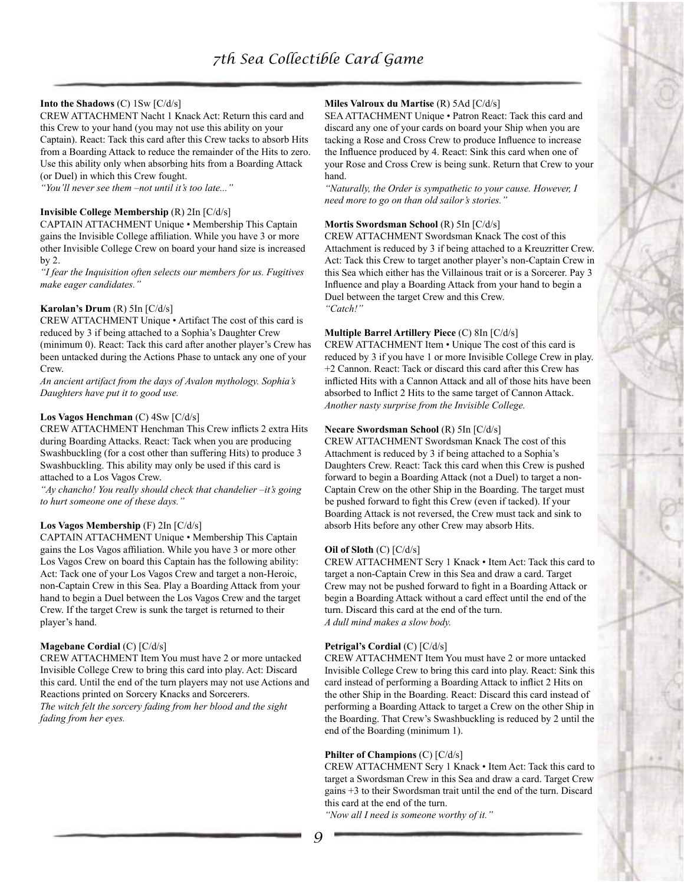### **Into the Shadows** (C) 1Sw [C/d/s]

CREW ATTACHMENT Nacht 1 Knack Act: Return this card and this Crew to your hand (you may not use this ability on your Captain). React: Tack this card after this Crew tacks to absorb Hits from a Boarding Attack to reduce the remainder of the Hits to zero. Use this ability only when absorbing hits from a Boarding Attack (or Duel) in which this Crew fought.

*"You'll never see them –not until it's too late..."*

### **Invisible College Membership** (R) 2In [C/d/s]

CAPTAIN ATTACHMENT Unique • Membership This Captain gains the Invisible College affiliation. While you have 3 or more other Invisible College Crew on board your hand size is increased by 2.

*"I fear the Inquisition often selects our members for us. Fugitives make eager candidates."*

### **Karolan's Drum** (R) 5In [C/d/s]

CREW ATTACHMENT Unique • Artifact The cost of this card is reduced by 3 if being attached to a Sophia's Daughter Crew (minimum 0). React: Tack this card after another player's Crew has been untacked during the Actions Phase to untack any one of your Crew.

*An ancient artifact from the days of Avalon mythology. Sophia's Daughters have put it to good use.*

### **Los Vagos Henchman** (C) 4Sw [C/d/s]

CREW ATTACHMENT Henchman This Crew inflicts 2 extra Hits during Boarding Attacks. React: Tack when you are producing Swashbuckling (for a cost other than suffering Hits) to produce 3 Swashbuckling. This ability may only be used if this card is attached to a Los Vagos Crew.

*"Ay chancho! You really should check that chandelier –it's going to hurt someone one of these days."*

### **Los Vagos Membership** (F) 2In [C/d/s]

CAPTAIN ATTACHMENT Unique • Membership This Captain gains the Los Vagos affiliation. While you have 3 or more other Los Vagos Crew on board this Captain has the following ability: Act: Tack one of your Los Vagos Crew and target a non-Heroic, non-Captain Crew in this Sea. Play a Boarding Attack from your hand to begin a Duel between the Los Vagos Crew and the target Crew. If the target Crew is sunk the target is returned to their player's hand.

### **Magebane Cordial** (C) [C/d/s]

CREW ATTACHMENT Item You must have 2 or more untacked Invisible College Crew to bring this card into play. Act: Discard this card. Until the end of the turn players may not use Actions and Reactions printed on Sorcery Knacks and Sorcerers. *The witch felt the sorcery fading from her blood and the sight fading from her eyes.*

### **Miles Valroux du Martise** (R) 5Ad [C/d/s]

SEA ATTACHMENT Unique • Patron React: Tack this card and discard any one of your cards on board your Ship when you are tacking a Rose and Cross Crew to produce Influence to increase the Influence produced by 4. React: Sink this card when one of your Rose and Cross Crew is being sunk. Return that Crew to your hand.

*"Naturally, the Order is sympathetic to your cause. However, I need more to go on than old sailor's stories."*

### **Mortis Swordsman School** (R) 5In [C/d/s]

CREW ATTACHMENT Swordsman Knack The cost of this Attachment is reduced by 3 if being attached to a Kreuzritter Crew. Act: Tack this Crew to target another player's non-Captain Crew in this Sea which either has the Villainous trait or is a Sorcerer. Pay 3 Influence and play a Boarding Attack from your hand to begin a Duel between the target Crew and this Crew. *"Catch!"*

#### **Multiple Barrel Artillery Piece** (C) 8In [C/d/s]

CREW ATTACHMENT Item • Unique The cost of this card is reduced by 3 if you have 1 or more Invisible College Crew in play. +2 Cannon. React: Tack or discard this card after this Crew has inflicted Hits with a Cannon Attack and all of those hits have been absorbed to Inflict 2 Hits to the same target of Cannon Attack. *Another nasty surprise from the Invisible College.*

#### **Necare Swordsman School** (R) 5In [C/d/s]

CREW ATTACHMENT Swordsman Knack The cost of this Attachment is reduced by 3 if being attached to a Sophia's Daughters Crew. React: Tack this card when this Crew is pushed forward to begin a Boarding Attack (not a Duel) to target a non-Captain Crew on the other Ship in the Boarding. The target must be pushed forward to fight this Crew (even if tacked). If your Boarding Attack is not reversed, the Crew must tack and sink to absorb Hits before any other Crew may absorb Hits.

### **Oil of Sloth** (C) [C/d/s]

CREW ATTACHMENT Scry 1 Knack • Item Act: Tack this card to target a non-Captain Crew in this Sea and draw a card. Target Crew may not be pushed forward to fight in a Boarding Attack or begin a Boarding Attack without a card effect until the end of the turn. Discard this card at the end of the turn. *A dull mind makes a slow body.*

### **Petrigal's Cordial** (C) [C/d/s]

CREW ATTACHMENT Item You must have 2 or more untacked Invisible College Crew to bring this card into play. React: Sink this card instead of performing a Boarding Attack to inflict 2 Hits on the other Ship in the Boarding. React: Discard this card instead of performing a Boarding Attack to target a Crew on the other Ship in the Boarding. That Crew's Swashbuckling is reduced by 2 until the end of the Boarding (minimum 1).

### **Philter of Champions** (C) [C/d/s]

CREW ATTACHMENT Scry 1 Knack • Item Act: Tack this card to target a Swordsman Crew in this Sea and draw a card. Target Crew gains +3 to their Swordsman trait until the end of the turn. Discard this card at the end of the turn.

*"Now all I need is someone worthy of it."*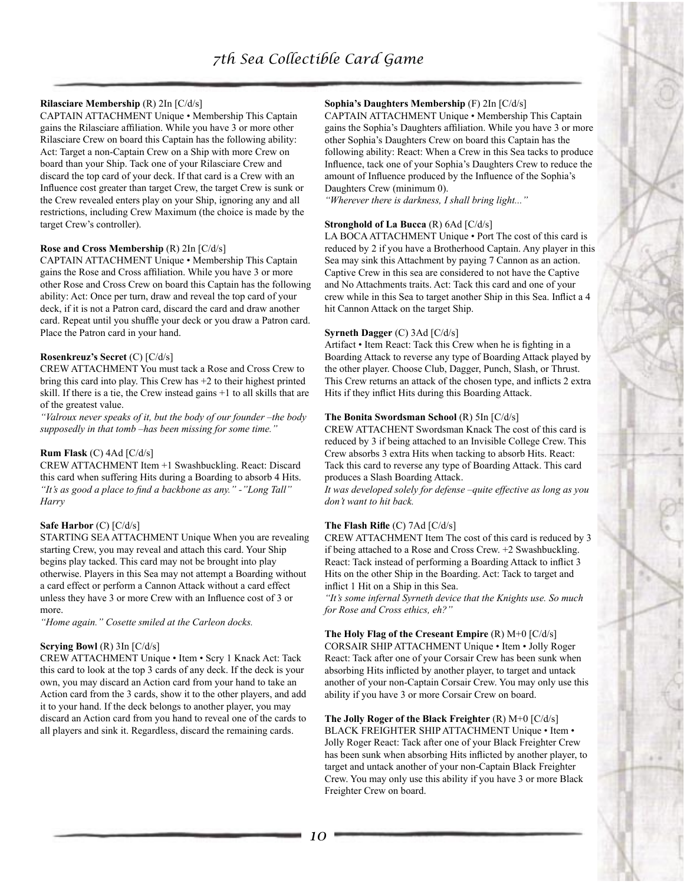# *7th Sea Collectible Card Game*

### **Rilasciare Membership** (R) 2In [C/d/s]

CAPTAIN ATTACHMENT Unique • Membership This Captain gains the Rilasciare affiliation. While you have 3 or more other Rilasciare Crew on board this Captain has the following ability: Act: Target a non-Captain Crew on a Ship with more Crew on board than your Ship. Tack one of your Rilasciare Crew and discard the top card of your deck. If that card is a Crew with an Influence cost greater than target Crew, the target Crew is sunk or the Crew revealed enters play on your Ship, ignoring any and all restrictions, including Crew Maximum (the choice is made by the target Crew's controller).

#### **Rose and Cross Membership** (R) 2In [C/d/s]

CAPTAIN ATTACHMENT Unique • Membership This Captain gains the Rose and Cross affiliation. While you have 3 or more other Rose and Cross Crew on board this Captain has the following ability: Act: Once per turn, draw and reveal the top card of your deck, if it is not a Patron card, discard the card and draw another card. Repeat until you shuffle your deck or you draw a Patron card. Place the Patron card in your hand.

#### **Rosenkreuz's Secret** (C) [C/d/s]

CREW ATTACHMENT You must tack a Rose and Cross Crew to bring this card into play. This Crew has +2 to their highest printed skill. If there is a tie, the Crew instead gains +1 to all skills that are of the greatest value.

*"Valroux never speaks of it, but the body of our founder –the body supposedly in that tomb –has been missing for some time."*

### **Rum Flask** (C) 4Ad [C/d/s]

CREW ATTACHMENT Item +1 Swashbuckling. React: Discard this card when suffering Hits during a Boarding to absorb 4 Hits. *"It's as good a place to find a backbone as any." -"Long Tall" Harry*

### **Safe Harbor** (C) [C/d/s]

STARTING SEA ATTACHMENT Unique When you are revealing starting Crew, you may reveal and attach this card. Your Ship begins play tacked. This card may not be brought into play otherwise. Players in this Sea may not attempt a Boarding without a card effect or perform a Cannon Attack without a card effect unless they have 3 or more Crew with an Influence cost of 3 or more.

*"Home again." Cosette smiled at the Carleon docks.*

### **Scrying Bowl** (R) 3In [C/d/s]

CREW ATTACHMENT Unique • Item • Scry 1 Knack Act: Tack this card to look at the top 3 cards of any deck. If the deck is your own, you may discard an Action card from your hand to take an Action card from the 3 cards, show it to the other players, and add it to your hand. If the deck belongs to another player, you may discard an Action card from you hand to reveal one of the cards to all players and sink it. Regardless, discard the remaining cards.

### **Sophia's Daughters Membership** (F) 2In [C/d/s]

CAPTAIN ATTACHMENT Unique • Membership This Captain gains the Sophia's Daughters affiliation. While you have 3 or more other Sophia's Daughters Crew on board this Captain has the following ability: React: When a Crew in this Sea tacks to produce Influence, tack one of your Sophia's Daughters Crew to reduce the amount of Influence produced by the Influence of the Sophia's Daughters Crew (minimum 0).

*"Wherever there is darkness, I shall bring light..."*

#### **Stronghold of La Bucca** (R) 6Ad [C/d/s]

LA BOCA ATTACHMENT Unique • Port The cost of this card is reduced by 2 if you have a Brotherhood Captain. Any player in this Sea may sink this Attachment by paying 7 Cannon as an action. Captive Crew in this sea are considered to not have the Captive and No Attachments traits. Act: Tack this card and one of your crew while in this Sea to target another Ship in this Sea. Inflict a 4 hit Cannon Attack on the target Ship.

#### **Syrneth Dagger** (C) 3Ad [C/d/s]

Artifact • Item React: Tack this Crew when he is fighting in a Boarding Attack to reverse any type of Boarding Attack played by the other player. Choose Club, Dagger, Punch, Slash, or Thrust. This Crew returns an attack of the chosen type, and inflicts 2 extra Hits if they inflict Hits during this Boarding Attack.

#### **The Bonita Swordsman School** (R) 5In [C/d/s]

CREW ATTACHENT Swordsman Knack The cost of this card is reduced by 3 if being attached to an Invisible College Crew. This Crew absorbs 3 extra Hits when tacking to absorb Hits. React: Tack this card to reverse any type of Boarding Attack. This card produces a Slash Boarding Attack.

*It was developed solely for defense –quite effective as long as you don't want to hit back.*

### **The Flash Rifle** (C) 7Ad [C/d/s]

CREW ATTACHMENT Item The cost of this card is reduced by 3 if being attached to a Rose and Cross Crew. +2 Swashbuckling. React: Tack instead of performing a Boarding Attack to inflict 3 Hits on the other Ship in the Boarding. Act: Tack to target and inflict 1 Hit on a Ship in this Sea.

*"It's some infernal Syrneth device that the Knights use. So much for Rose and Cross ethics, eh?"*

### **The Holy Flag of the Creseant Empire** (R) M+0 [C/d/s]

CORSAIR SHIP ATTACHMENT Unique • Item • Jolly Roger React: Tack after one of your Corsair Crew has been sunk when absorbing Hits inflicted by another player, to target and untack another of your non-Captain Corsair Crew. You may only use this ability if you have 3 or more Corsair Crew on board.

### **The Jolly Roger of the Black Freighter** (R) M+0 [C/d/s]

BLACK FREIGHTER SHIP ATTACHMENT Unique • Item • Jolly Roger React: Tack after one of your Black Freighter Crew has been sunk when absorbing Hits inflicted by another player, to target and untack another of your non-Captain Black Freighter Crew. You may only use this ability if you have 3 or more Black Freighter Crew on board.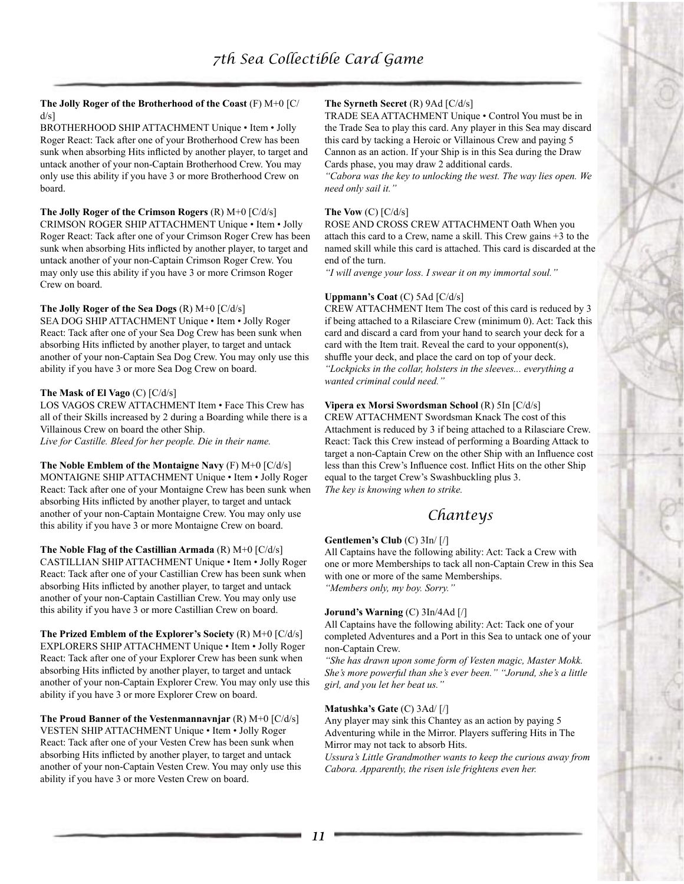### **The Jolly Roger of the Brotherhood of the Coast** (F) M+0 [C/  $d/s$ ]

BROTHERHOOD SHIP ATTACHMENT Unique • Item • Jolly Roger React: Tack after one of your Brotherhood Crew has been sunk when absorbing Hits inflicted by another player, to target and untack another of your non-Captain Brotherhood Crew. You may only use this ability if you have 3 or more Brotherhood Crew on board.

### **The Jolly Roger of the Crimson Rogers** (R) M+0 [C/d/s]

CRIMSON ROGER SHIP ATTACHMENT Unique • Item • Jolly Roger React: Tack after one of your Crimson Roger Crew has been sunk when absorbing Hits inflicted by another player, to target and untack another of your non-Captain Crimson Roger Crew. You may only use this ability if you have 3 or more Crimson Roger Crew on board.

### **The Jolly Roger of the Sea Dogs** (R) M+0 [C/d/s]

SEA DOG SHIP ATTACHMENT Unique • Item • Jolly Roger React: Tack after one of your Sea Dog Crew has been sunk when absorbing Hits inflicted by another player, to target and untack another of your non-Captain Sea Dog Crew. You may only use this ability if you have 3 or more Sea Dog Crew on board.

#### **The Mask of El Vago** (C) [C/d/s]

LOS VAGOS CREW ATTACHMENT Item • Face This Crew has all of their Skills increased by 2 during a Boarding while there is a Villainous Crew on board the other Ship.

*Live for Castille. Bleed for her people. Die in their name.*

**The Noble Emblem of the Montaigne Navy** (F) M+0 [C/d/s] MONTAIGNE SHIP ATTACHMENT Unique • Item • Jolly Roger React: Tack after one of your Montaigne Crew has been sunk when absorbing Hits inflicted by another player, to target and untack another of your non-Captain Montaigne Crew. You may only use this ability if you have 3 or more Montaigne Crew on board.

**The Noble Flag of the Castillian Armada** (R) M+0 [C/d/s] CASTILLIAN SHIP ATTACHMENT Unique • Item • Jolly Roger React: Tack after one of your Castillian Crew has been sunk when absorbing Hits inflicted by another player, to target and untack another of your non-Captain Castillian Crew. You may only use this ability if you have 3 or more Castillian Crew on board.

**The Prized Emblem of the Explorer's Society** (R) M+0 [C/d/s] EXPLORERS SHIP ATTACHMENT Unique • Item • Jolly Roger React: Tack after one of your Explorer Crew has been sunk when absorbing Hits inflicted by another player, to target and untack another of your non-Captain Explorer Crew. You may only use this ability if you have 3 or more Explorer Crew on board.

**The Proud Banner of the Vestenmannavnjar** (R) M+0 [C/d/s] VESTEN SHIP ATTACHMENT Unique • Item • Jolly Roger React: Tack after one of your Vesten Crew has been sunk when absorbing Hits inflicted by another player, to target and untack another of your non-Captain Vesten Crew. You may only use this ability if you have 3 or more Vesten Crew on board.

### **The Syrneth Secret** (R) 9Ad [C/d/s]

TRADE SEA ATTACHMENT Unique • Control You must be in the Trade Sea to play this card. Any player in this Sea may discard this card by tacking a Heroic or Villainous Crew and paying 5 Cannon as an action. If your Ship is in this Sea during the Draw Cards phase, you may draw 2 additional cards.

*"Cabora was the key to unlocking the west. The way lies open. We need only sail it."*

#### **The Vow** (C) [C/d/s]

ROSE AND CROSS CREW ATTACHMENT Oath When you attach this card to a Crew, name a skill. This Crew gains +3 to the named skill while this card is attached. This card is discarded at the end of the turn.

*"I will avenge your loss. I swear it on my immortal soul."*

#### **Uppmann's Coat** (C) 5Ad [C/d/s]

CREW ATTACHMENT Item The cost of this card is reduced by 3 if being attached to a Rilasciare Crew (minimum 0). Act: Tack this card and discard a card from your hand to search your deck for a card with the Item trait. Reveal the card to your opponent(s), shuffle your deck, and place the card on top of your deck. *"Lockpicks in the collar, holsters in the sleeves... everything a wanted criminal could need."*

#### **Vipera ex Morsi Swordsman School** (R) 5In [C/d/s]

CREW ATTACHMENT Swordsman Knack The cost of this Attachment is reduced by 3 if being attached to a Rilasciare Crew. React: Tack this Crew instead of performing a Boarding Attack to target a non-Captain Crew on the other Ship with an Influence cost less than this Crew's Influence cost. Inflict Hits on the other Ship equal to the target Crew's Swashbuckling plus 3. *The key is knowing when to strike.*

# *Chanteys*

### **Gentlemen's Club** (C) 3In/ [/]

All Captains have the following ability: Act: Tack a Crew with one or more Memberships to tack all non-Captain Crew in this Sea with one or more of the same Memberships. *"Members only, my boy. Sorry."*

#### **Jorund's Warning** (C) 3In/4Ad [/]

All Captains have the following ability: Act: Tack one of your completed Adventures and a Port in this Sea to untack one of your non-Captain Crew.

*"She has drawn upon some form of Vesten magic, Master Mokk. She's more powerful than she's ever been." "Jorund, she's a little girl, and you let her beat us."*

### **Matushka's Gate** (C) 3Ad/ [/]

Any player may sink this Chantey as an action by paying 5 Adventuring while in the Mirror. Players suffering Hits in The Mirror may not tack to absorb Hits.

*Ussura's Little Grandmother wants to keep the curious away from Cabora. Apparently, the risen isle frightens even her.*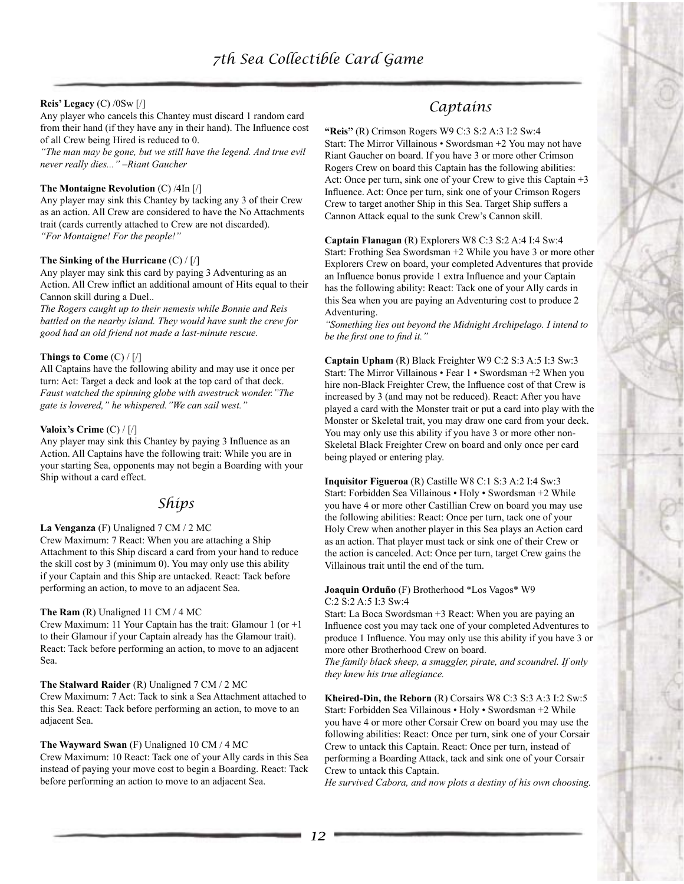### **Reis' Legacy** (C) /0Sw [/]

Any player who cancels this Chantey must discard 1 random card from their hand (if they have any in their hand). The Influence cost of all Crew being Hired is reduced to 0.

*"The man may be gone, but we still have the legend. And true evil never really dies..." –Riant Gaucher*

#### **The Montaigne Revolution** (C) /4In [/]

Any player may sink this Chantey by tacking any 3 of their Crew as an action. All Crew are considered to have the No Attachments trait (cards currently attached to Crew are not discarded). *"For Montaigne! For the people!"*

#### **The Sinking of the Hurricane** (C) / [/]

Any player may sink this card by paying 3 Adventuring as an Action. All Crew inflict an additional amount of Hits equal to their Cannon skill during a Duel..

*The Rogers caught up to their nemesis while Bonnie and Reis battled on the nearby island. They would have sunk the crew for good had an old friend not made a last-minute rescue.*

#### **Things to Come** (C) / [/]

All Captains have the following ability and may use it once per turn: Act: Target a deck and look at the top card of that deck. *Faust watched the spinning globe with awestruck wonder."The gate is lowered," he whispered."We can sail west."*

#### **Valoix's Crime** (C) / [/]

Any player may sink this Chantey by paying 3 Influence as an Action. All Captains have the following trait: While you are in your starting Sea, opponents may not begin a Boarding with your Ship without a card effect.

## *Ships*

#### **La Venganza** (F) Unaligned 7 CM / 2 MC

Crew Maximum: 7 React: When you are attaching a Ship Attachment to this Ship discard a card from your hand to reduce the skill cost by 3 (minimum 0). You may only use this ability if your Captain and this Ship are untacked. React: Tack before performing an action, to move to an adjacent Sea.

#### **The Ram** (R) Unaligned 11 CM / 4 MC

Crew Maximum: 11 Your Captain has the trait: Glamour 1 (or +1 to their Glamour if your Captain already has the Glamour trait). React: Tack before performing an action, to move to an adjacent Sea.

**The Stalward Raider** (R) Unaligned 7 CM / 2 MC Crew Maximum: 7 Act: Tack to sink a Sea Attachment attached to this Sea. React: Tack before performing an action, to move to an adjacent Sea.

### **The Wayward Swan** (F) Unaligned 10 CM / 4 MC

Crew Maximum: 10 React: Tack one of your Ally cards in this Sea instead of paying your move cost to begin a Boarding. React: Tack before performing an action to move to an adjacent Sea.

# *Captains*

**"Reis"** (R) Crimson Rogers W9 C:3 S:2 A:3 I:2 Sw:4 Start: The Mirror Villainous • Swordsman +2 You may not have Riant Gaucher on board. If you have 3 or more other Crimson Rogers Crew on board this Captain has the following abilities: Act: Once per turn, sink one of your Crew to give this Captain +3 Influence. Act: Once per turn, sink one of your Crimson Rogers Crew to target another Ship in this Sea. Target Ship suffers a Cannon Attack equal to the sunk Crew's Cannon skill.

**Captain Flanagan** (R) Explorers W8 C:3 S:2 A:4 I:4 Sw:4 Start: Frothing Sea Swordsman +2 While you have 3 or more other Explorers Crew on board, your completed Adventures that provide an Influence bonus provide 1 extra Influence and your Captain has the following ability: React: Tack one of your Ally cards in this Sea when you are paying an Adventuring cost to produce 2 Adventuring.

*"Something lies out beyond the Midnight Archipelago. I intend to be the first one to find it."*

**Captain Upham** (R) Black Freighter W9 C:2 S:3 A:5 I:3 Sw:3 Start: The Mirror Villainous • Fear 1 • Swordsman +2 When you hire non-Black Freighter Crew, the Influence cost of that Crew is increased by 3 (and may not be reduced). React: After you have played a card with the Monster trait or put a card into play with the Monster or Skeletal trait, you may draw one card from your deck. You may only use this ability if you have 3 or more other non-Skeletal Black Freighter Crew on board and only once per card being played or entering play.

**Inquisitor Figueroa** (R) Castille W8 C:1 S:3 A:2 I:4 Sw:3 Start: Forbidden Sea Villainous • Holy • Swordsman +2 While you have 4 or more other Castillian Crew on board you may use the following abilities: React: Once per turn, tack one of your Holy Crew when another player in this Sea plays an Action card as an action. That player must tack or sink one of their Crew or the action is canceled. Act: Once per turn, target Crew gains the Villainous trait until the end of the turn.

#### **Joaquin Orduño** (F) Brotherhood \*Los Vagos\* W9 C:2 S:2 A:5 I:3 Sw:4

Start: La Boca Swordsman +3 React: When you are paying an Influence cost you may tack one of your completed Adventures to produce 1 Influence. You may only use this ability if you have 3 or more other Brotherhood Crew on board.

*The family black sheep, a smuggler, pirate, and scoundrel. If only they knew his true allegiance.*

**Kheired-Din, the Reborn** (R) Corsairs W8 C:3 S:3 A:3 I:2 Sw:5 Start: Forbidden Sea Villainous • Holy • Swordsman +2 While you have 4 or more other Corsair Crew on board you may use the following abilities: React: Once per turn, sink one of your Corsair Crew to untack this Captain. React: Once per turn, instead of performing a Boarding Attack, tack and sink one of your Corsair Crew to untack this Captain.

*He survived Cabora, and now plots a destiny of his own choosing.*